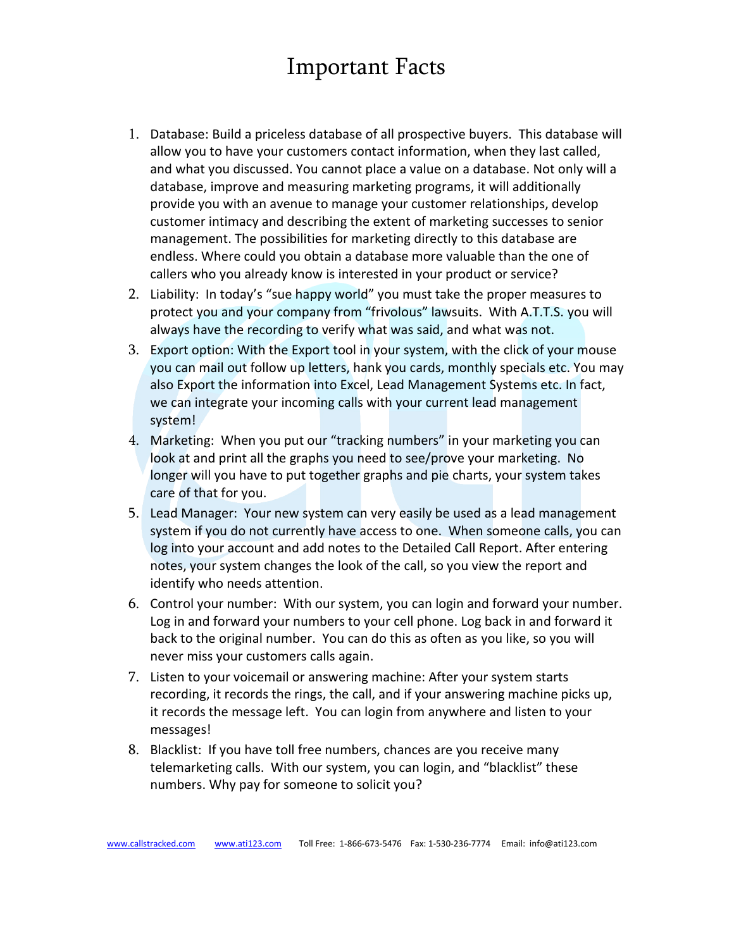## Important Facts

- 1. Database: Build a priceless database of all prospective buyers. This database will allow you to have your customers contact information, when they last called, and what you discussed. You cannot place a value on a database. Not only will a database, improve and measuring marketing programs, it will additionally provide you with an avenue to manage your customer relationships, develop customer intimacy and describing the extent of marketing successes to senior management. The possibilities for marketing directly to this database are endless. Where could you obtain a database more valuable than the one of callers who you already know is interested in your product or service?
- 2. Liability: In today's "sue happy world" you must take the proper measures to protect you and your company from "frivolous" lawsuits. With A.T.T.S. you will always have the recording to verify what was said, and what was not.
- 3. Export option: With the Export tool in your system, with the click of your mouse you can mail out follow up letters, hank you cards, monthly specials etc. You may also Export the information into Excel, Lead Management Systems etc. In fact, we can integrate your incoming calls with your current lead management system!
- 4. Marketing: When you put our "tracking numbers" in your marketing you can look at and print all the graphs you need to see/prove your marketing. No longer will you have to put together graphs and pie charts, your system takes care of that for you.
- 5. Lead Manager: Your new system can very easily be used as a lead management system if you do not currently have access to one. When someone calls, you can log into your account and add notes to the Detailed Call Report. After entering notes, your system changes the look of the call, so you view the report and identify who needs attention.
- 6. Control your number: With our system, you can login and forward your number. Log in and forward your numbers to your cell phone. Log back in and forward it back to the original number. You can do this as often as you like, so you will never miss your customers calls again.
- 7. Listen to your voicemail or answering machine: After your system starts recording, it records the rings, the call, and if your answering machine picks up, it records the message left. You can login from anywhere and listen to your messages!
- 8. Blacklist: If you have toll free numbers, chances are you receive many telemarketing calls. With our system, you can login, and "blacklist" these numbers. Why pay for someone to solicit you?